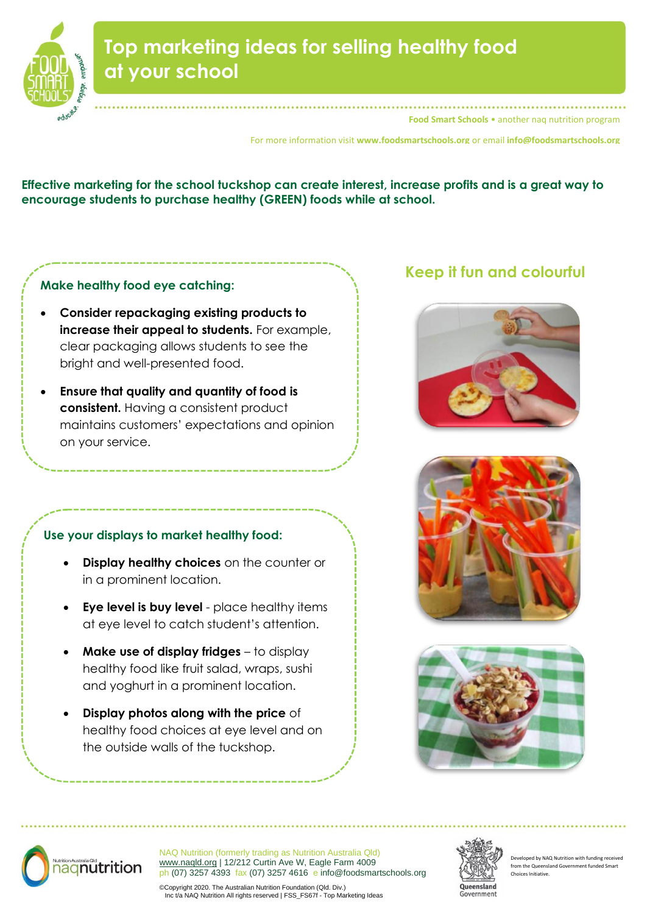

# **Top marketing ideas for selling healthy food at your school**

**Food Smart Schools** • another naq nutrition program

For more information visit **www.foodsmartschools.org** or email **info@foodsmartschools.org**

**Effective marketing for the school tuckshop can create interest, increase profits and is a great way to encourage students to purchase healthy (GREEN) foods while at school.** 

# **Make healthy food eye catching:**

- **Consider repackaging existing products to increase their appeal to students.** For example, clear packaging allows students to see the bright and well-presented food.
- **Ensure that quality and quantity of food is consistent.** Having a consistent product maintains customers' expectations and opinion on your service.

# **Use your displays to market healthy food:**

- **Display healthy choices** on the counter or in a prominent location.
- **Eye level is buy level** place healthy items at eye level to catch student's attention.
- **Make use of display fridges** to display healthy food like fruit salad, wraps, sushi and yoghurt in a prominent location.
- **Display photos along with the price** of healthy food choices at eye level and on the outside walls of the tuckshop.

# **Keep it fun and colourful**









NAQ Nutrition (formerly trading as Nutrition Australia Qld) [www.naqld.org](http://www.naqld.org/) | 12/212 Curtin Ave W, Eagle Farm 4009 ph (07) 3257 4393 fax (07) 3257 4616 e info@foodsmartschools.org



veloped by NAQ Nutrition with funding rece from the Queensland Government Choices Initiative.

©Copyright 2020. The Australian Nutrition Foundation (Qld. Div.) Inc t/a NAQ Nutrition All rights reserved | FSS\_FS67f - Top Marketing Ideas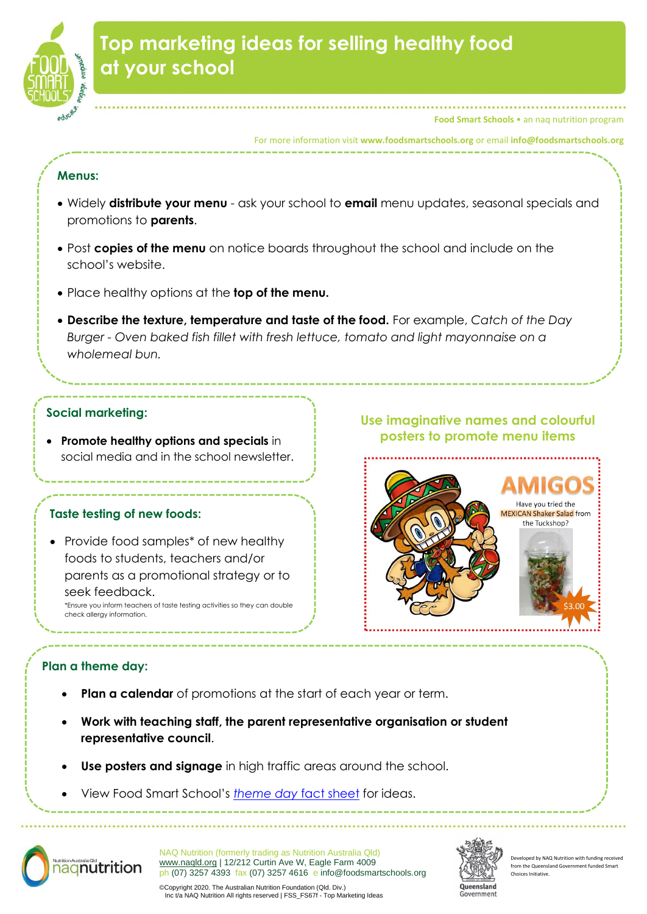

**Food Smart Schools** • an naq nutrition program

#### For more information visit **www.foodsmartschools.org** or email **info@foodsmartschools.org**

#### **Menus:**

- Widely **distribute your menu** ask your school to **email** menu updates, seasonal specials and promotions to **parents**.
- Post **copies of the menu** on notice boards throughout the school and include on the school's website.
- Place healthy options at the **top of the menu.**
- **Describe the texture, temperature and taste of the food.** For example, *Catch of the Day Burger - Oven baked fish fillet with fresh lettuce, tomato and light mayonnaise on a wholemeal bun.*

## **Social marketing:**

• **Promote healthy options and specials** in social media and in the school newsletter.

#### **Taste testing of new foods:**

• Provide food samples\* of new healthy foods to students, teachers and/or parents as a promotional strategy or to seek feedback. \*Ensure you inform teachers of taste testing activities so they can double check allergy information.

# **Use imaginative names and colourful posters to promote menu items**



## **Plan a theme day:**

- **Plan a calendar** of promotions at the start of each year or term.
- **Work with teaching staff, the parent representative organisation or student representative council**.
- **Use posters and signage** in high traffic areas around the school.
- View Food Smart School's *[theme day](https://d2ktlgllpgl04o.cloudfront.net/wp-content/uploads/2014/05/12141639/FSS_FS59b-Theme-Day-Ideas-For-Schools1.pdf)* fact sheet for ideas.



NAQ Nutrition (formerly trading as Nutrition Australia Qld) [www.naqld.org](http://www.naqld.org/) | 12/212 Curtin Ave W, Eagle Farm 4009 ph (07) 3257 4393 fax (07) 3257 4616 e info@foodsmartschools.org



veloped by NAQ Nutrition with funding rec rom the Queensland Go Choices Initiative.

©Copyright 2020. The Australian Nutrition Foundation (Qld. Div.) Inc t/a NAQ Nutrition All rights reserved | FSS\_FS67f - Top Marketing Ideas